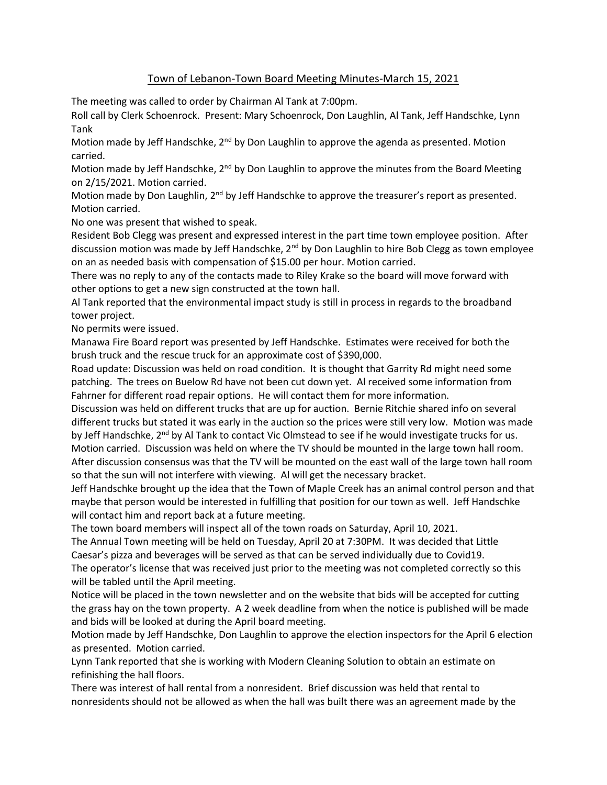## Town of Lebanon-Town Board Meeting Minutes-March 15, 2021

The meeting was called to order by Chairman Al Tank at 7:00pm.

Roll call by Clerk Schoenrock. Present: Mary Schoenrock, Don Laughlin, Al Tank, Jeff Handschke, Lynn Tank

Motion made by Jeff Handschke, 2<sup>nd</sup> by Don Laughlin to approve the agenda as presented. Motion carried.

Motion made by Jeff Handschke, 2<sup>nd</sup> by Don Laughlin to approve the minutes from the Board Meeting on 2/15/2021. Motion carried.

Motion made by Don Laughlin, 2<sup>nd</sup> by Jeff Handschke to approve the treasurer's report as presented. Motion carried.

No one was present that wished to speak.

Resident Bob Clegg was present and expressed interest in the part time town employee position. After discussion motion was made by Jeff Handschke,  $2^{nd}$  by Don Laughlin to hire Bob Clegg as town employee on an as needed basis with compensation of \$15.00 per hour. Motion carried.

There was no reply to any of the contacts made to Riley Krake so the board will move forward with other options to get a new sign constructed at the town hall.

Al Tank reported that the environmental impact study is still in process in regards to the broadband tower project.

No permits were issued.

Manawa Fire Board report was presented by Jeff Handschke. Estimates were received for both the brush truck and the rescue truck for an approximate cost of \$390,000.

Road update: Discussion was held on road condition. It is thought that Garrity Rd might need some patching. The trees on Buelow Rd have not been cut down yet. Al received some information from Fahrner for different road repair options. He will contact them for more information.

Discussion was held on different trucks that are up for auction. Bernie Ritchie shared info on several different trucks but stated it was early in the auction so the prices were still very low. Motion was made by Jeff Handschke, 2<sup>nd</sup> by Al Tank to contact Vic Olmstead to see if he would investigate trucks for us. Motion carried. Discussion was held on where the TV should be mounted in the large town hall room. After discussion consensus was that the TV will be mounted on the east wall of the large town hall room so that the sun will not interfere with viewing. Al will get the necessary bracket.

Jeff Handschke brought up the idea that the Town of Maple Creek has an animal control person and that maybe that person would be interested in fulfilling that position for our town as well. Jeff Handschke will contact him and report back at a future meeting.

The town board members will inspect all of the town roads on Saturday, April 10, 2021.

The Annual Town meeting will be held on Tuesday, April 20 at 7:30PM. It was decided that Little Caesar's pizza and beverages will be served as that can be served individually due to Covid19. The operator's license that was received just prior to the meeting was not completed correctly so this will be tabled until the April meeting.

Notice will be placed in the town newsletter and on the website that bids will be accepted for cutting the grass hay on the town property. A 2 week deadline from when the notice is published will be made and bids will be looked at during the April board meeting.

Motion made by Jeff Handschke, Don Laughlin to approve the election inspectors for the April 6 election as presented. Motion carried.

Lynn Tank reported that she is working with Modern Cleaning Solution to obtain an estimate on refinishing the hall floors.

There was interest of hall rental from a nonresident. Brief discussion was held that rental to nonresidents should not be allowed as when the hall was built there was an agreement made by the